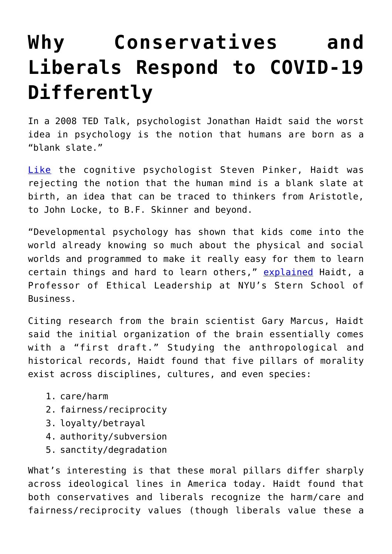## **[Why Conservatives and](https://intellectualtakeout.org/2020/05/why-conservatives-and-liberals-respond-to-covid-19-differently/) [Liberals Respond to COVID-19](https://intellectualtakeout.org/2020/05/why-conservatives-and-liberals-respond-to-covid-19-differently/) [Differently](https://intellectualtakeout.org/2020/05/why-conservatives-and-liberals-respond-to-covid-19-differently/)**

In a 2008 TED Talk, psychologist Jonathan Haidt said the worst idea in psychology is the notion that humans are born as a "blank slate."

[Like](https://en.wikipedia.org/wiki/The_Blank_Slate) the cognitive psychologist Steven Pinker, Haidt was rejecting the notion that the human mind is a blank slate at birth, an idea that can be traced to thinkers from Aristotle, to John Locke, to B.F. Skinner and beyond.

"Developmental psychology has shown that kids come into the world already knowing so much about the physical and social worlds and programmed to make it really easy for them to learn certain things and hard to learn others," [explained](https://www.ted.com/talks/jonathan_haidt_the_moral_roots_of_liberals_and_conservatives?language=en#t-515801) Haidt, a Professor of Ethical Leadership at NYU's Stern School of Business.

Citing research from the brain scientist Gary Marcus, Haidt said the initial organization of the brain essentially comes with a "first draft." Studying the anthropological and historical records, Haidt found that five pillars of morality exist across disciplines, cultures, and even species:

- 1. care/harm
- 2. fairness/reciprocity
- 3. loyalty/betrayal
- 4. authority/subversion
- 5. sanctity/degradation

What's interesting is that these moral pillars differ sharply across ideological lines in America today. Haidt found that both conservatives and liberals recognize the harm/care and fairness/reciprocity values (though liberals value these a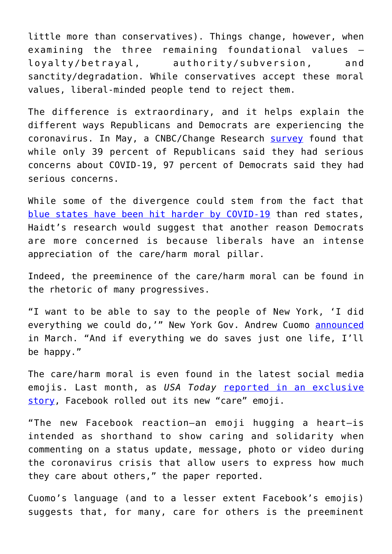little more than conservatives). Things change, however, when examining the three remaining foundational values – loyalty/betrayal, authority/subversion, and sanctity/degradation. While conservatives accept these moral values, liberal-minded people tend to reject them.

The difference is extraordinary, and it helps explain the different ways Republicans and Democrats are experiencing the coronavirus. In May, a CNBC/Change Research [survey](https://www.changeresearch.com/post/states-of-play-battleground-wave-4) found that while only 39 percent of Republicans said they had serious concerns about COVID-19, 97 percent of Democrats said they had serious concerns.

While some of the divergence could stem from the fact that [blue states have been hit harder by COVID-19](https://www.wsj.com/articles/why-coronavirus-increasingly-exacerbates-the-red-blue-divide-11589810871) than red states, Haidt's research would suggest that another reason Democrats are more concerned is because liberals have an intense appreciation of the care/harm moral pillar.

Indeed, the preeminence of the care/harm moral can be found in the rhetoric of many progressives.

"I want to be able to say to the people of New York, 'I did everything we could do,'" New York Gov. Andrew Cuomo [announced](https://nypost.com/2020/03/20/todays-coronavirus-update-trump-closes-borders-new-york-locks-down/) in March. "And if everything we do saves just one life, I'll be happy."

The care/harm moral is even found in the latest social media emojis. Last month, as *USA Today* [reported in an exclusive](https://www.usatoday.com/story/tech/2020/04/17/facebook-messenger-coronavirus-new-hug-emoji-reaction-support-family-friends/5147510002/) [story](https://www.usatoday.com/story/tech/2020/04/17/facebook-messenger-coronavirus-new-hug-emoji-reaction-support-family-friends/5147510002/), Facebook rolled out its new "care" emoji.

"The new Facebook reaction—an emoji hugging a heart—is intended as shorthand to show caring and solidarity when commenting on a status update, message, photo or video during the coronavirus crisis that allow users to express how much they care about others," the paper reported.

Cuomo's language (and to a lesser extent Facebook's emojis) suggests that, for many, care for others is the preeminent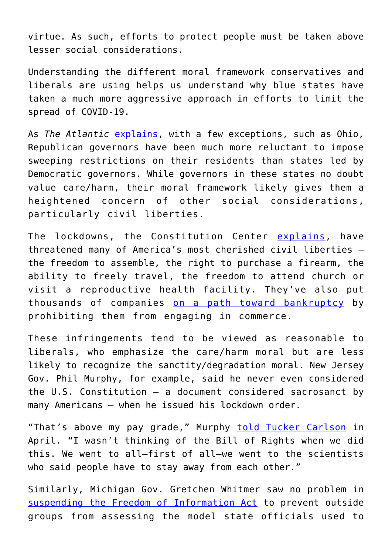virtue. As such, efforts to protect people must be taken above lesser social considerations.

Understanding the different moral framework conservatives and liberals are using helps us understand why blue states have taken a much more aggressive approach in efforts to limit the spread of COVID-19.

As *The Atlantic* [explains,](https://www.theatlantic.com/politics/archive/2020/03/how-republicans-and-democrats-think-about-coronavirus/608395/) with a few exceptions, such as Ohio, Republican governors have been much more reluctant to impose sweeping restrictions on their residents than states led by Democratic governors. While governors in these states no doubt value care/harm, their moral framework likely gives them a heightened concern of other social considerations, particularly civil liberties.

The lockdowns, the Constitution Center [explains,](https://constitutioncenter.org/interactive-constitution/podcast/civil-liberties-and-covid-19) have threatened many of America's most cherished civil liberties – the freedom to assemble, the right to purchase a firearm, the ability to freely travel, the freedom to attend church or visit a reproductive health facility. They've also put thousands of companies [on a path toward bankruptcy](https://www.youtube.com/watch?v=PrZO9XLMJEc) by prohibiting them from engaging in commerce.

These infringements tend to be viewed as reasonable to liberals, who emphasize the care/harm moral but are less likely to recognize the sanctity/degradation moral. New Jersey Gov. Phil Murphy, for example, said he never even considered the U.S. Constitution – a document considered sacrosanct by many Americans – when he issued his lockdown order.

"That's above my pay grade," Murphy [told Tucker Carlson](https://nypost.com/2020/04/16/murphy-says-he-wasnt-thinking-of-bill-of-rights-for-coronavirus-measures/) in April. "I wasn't thinking of the Bill of Rights when we did this. We went to all—first of all—we went to the scientists who said people have to stay away from each other."

Similarly, Michigan Gov. Gretchen Whitmer saw no problem in [suspending the Freedom of Information Act](https://www.fox2detroit.com/news/5-businesses-sue-gov-gretchen-whitmer-over-constitutional-rights-from-shutdown) to prevent outside groups from assessing the model state officials used to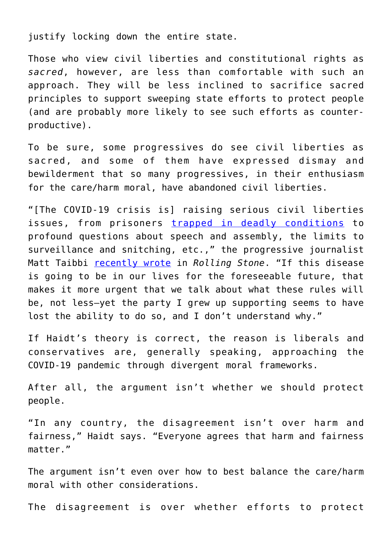justify locking down the entire state.

Those who view civil liberties and constitutional rights as *sacred*, however, are less than comfortable with such an approach. They will be less inclined to sacrifice sacred principles to support sweeping state efforts to protect people (and are probably more likely to see such efforts as counterproductive).

To be sure, some progressives do see civil liberties as sacred, and some of them have expressed dismay and bewilderment that so many progressives, in their enthusiasm for the care/harm moral, have abandoned civil liberties.

"[The COVID-19 crisis is] raising serious civil liberties issues, from prisoners [trapped in deadly conditions](https://www.aclu.org/news/prisoners-rights/dallas-county-officials-are-leaving-vulnerable-people-to-catch-covid-19-in-jail/) to profound questions about speech and assembly, the limits to surveillance and snitching, etc.," the progressive journalist Matt Taibbi [recently wrote](https://taibbi.substack.com/p/democrats-have-abandoned-civil-liberties) in *Rolling Stone*. "If this disease is going to be in our lives for the foreseeable future, that makes it more urgent that we talk about what these rules will be, not less—yet the party I grew up supporting seems to have lost the ability to do so, and I don't understand why."

If Haidt's theory is correct, the reason is liberals and conservatives are, generally speaking, approaching the COVID-19 pandemic through divergent moral frameworks.

After all, the argument isn't whether we should protect people.

"In any country, the disagreement isn't over harm and fairness," Haidt says. "Everyone agrees that harm and fairness matter."

The argument isn't even over how to best balance the care/harm moral with other considerations.

The disagreement is over whether efforts to protect